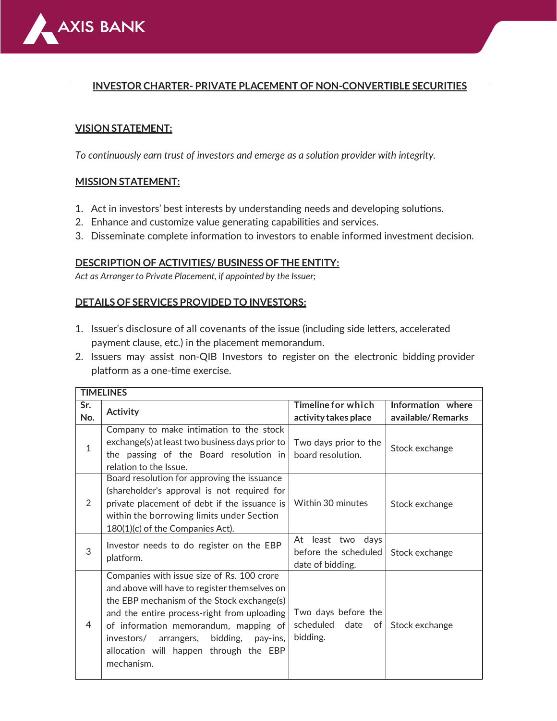

#### **INVESTOR CHARTER- PRIVATE PLACEMENT OF NON-CONVERTIBLE SECURITIES**

#### **VISION STATEMENT:**

*To continuously earn trust of investors and emerge as a solution provider with integrity.*

#### **MISSION STATEMENT:**

- 1. Act in investors' best interests by understanding needs and developing solutions.
- 2. Enhance and customize value generating capabilities and services.
- 3. Disseminate complete information to investors to enable informed investment decision.

#### **DESCRIPTION OF ACTIVITIES/ BUSINESS OF THE ENTITY:**

*Act as Arranger to Private Placement, if appointed by the Issuer;*

#### **DETAILS OF SERVICES PROVIDED TO INVESTORS:**

- 1. Issuer's disclosure of all covenants of the issue (including side letters, accelerated payment clause, etc.) in the placement memorandum.
- 2. Issuers may assist non-QIB Investors to register on the electronic bidding provider platform as a one-time exercise.

| <b>TIMELINES</b> |                                                       |                           |                   |  |  |  |
|------------------|-------------------------------------------------------|---------------------------|-------------------|--|--|--|
| Sr.              | Activity                                              | <b>Timeline for which</b> | Information where |  |  |  |
| No.              |                                                       | activity takes place      | available/Remarks |  |  |  |
| $\mathbf{1}$     | Company to make intimation to the stock               |                           |                   |  |  |  |
|                  | exchange(s) at least two business days prior to       | Two days prior to the     | Stock exchange    |  |  |  |
|                  | the passing of the Board resolution in                | board resolution.         |                   |  |  |  |
|                  | relation to the Issue.                                |                           |                   |  |  |  |
| $\mathcal{P}$    | Board resolution for approving the issuance           |                           |                   |  |  |  |
|                  | (shareholder's approval is not required for           |                           |                   |  |  |  |
|                  | private placement of debt if the issuance is          | Within 30 minutes         | Stock exchange    |  |  |  |
|                  | within the borrowing limits under Section             |                           |                   |  |  |  |
|                  | 180(1)(c) of the Companies Act).                      |                           |                   |  |  |  |
| 3                | Investor needs to do register on the EBP<br>platform. | At least two days         |                   |  |  |  |
|                  |                                                       | before the scheduled      | Stock exchange    |  |  |  |
|                  |                                                       | date of bidding.          |                   |  |  |  |
| 4                | Companies with issue size of Rs. 100 crore            |                           |                   |  |  |  |
|                  | and above will have to register themselves on         |                           |                   |  |  |  |
|                  | the EBP mechanism of the Stock exchange(s)            |                           |                   |  |  |  |
|                  | and the entire process-right from uploading           | Two days before the       |                   |  |  |  |
|                  | of information memorandum, mapping of                 | scheduled date of         | Stock exchange    |  |  |  |
|                  | investors/<br>arrangers, bidding,<br>pay-ins,         | bidding.                  |                   |  |  |  |
|                  | allocation will happen through the EBP                |                           |                   |  |  |  |
|                  | mechanism.                                            |                           |                   |  |  |  |
|                  |                                                       |                           |                   |  |  |  |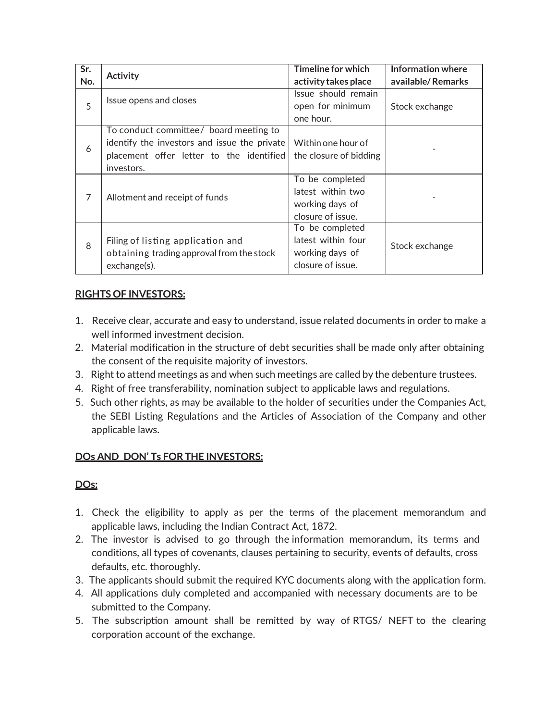| Sr. | Activity                                     | Timeline for which     | Information where |  |
|-----|----------------------------------------------|------------------------|-------------------|--|
| No. |                                              | activity takes place   | available/Remarks |  |
| 5   | Issue opens and closes                       | Issue should remain    |                   |  |
|     |                                              | open for minimum       | Stock exchange    |  |
|     |                                              | one hour.              |                   |  |
| 6   | To conduct committee/ board meeting to       |                        |                   |  |
|     | identify the investors and issue the private | Within one hour of     |                   |  |
|     | placement offer letter to the identified     | the closure of bidding |                   |  |
|     | investors.                                   |                        |                   |  |
| 7   | Allotment and receipt of funds               | To be completed        |                   |  |
|     |                                              | latest within two      |                   |  |
|     |                                              | working days of        |                   |  |
|     |                                              | closure of issue.      |                   |  |
| 8   |                                              | To be completed        |                   |  |
|     | Filing of listing application and            | latest within four     | Stock exchange    |  |
|     | obtaining trading approval from the stock    | working days of        |                   |  |
|     | exchange(s).                                 | closure of issue.      |                   |  |

## **RIGHTS OF INVESTORS:**

- 1. Receive clear, accurate and easy to understand, issue related documents in order to make a well informed investment decision.
- 2. Material modification in the structure of debt securities shall be made only after obtaining the consent of the requisite majority of investors.
- 3. Right to attend meetings as and when such meetings are called by the debenture trustees.
- 4. Right of free transferability, nomination subject to applicable laws and regulations.
- 5. Such other rights, as may be available to the holder of securities under the Companies Act, the SEBI Listing Regulations and the Articles of Association of the Company and other applicable laws.

# **DOs AND DON' Ts FOR THE INVESTORS:**

# **DOs:**

- 1. Check the eligibility to apply as per the terms of the placement memorandum and applicable laws, including the Indian Contract Act, 1872.
- 2. The investor is advised to go through the information memorandum, its terms and conditions, all types of covenants, clauses pertaining to security, events of defaults, cross defaults, etc. thoroughly.
- 3. The applicants should submit the required KYC documents along with the application form.
- 4. All applications duly completed and accompanied with necessary documents are to be submitted to the Company.
- 5. The subscription amount shall be remitted by way of RTGS/ NEFT to the clearing corporation account of the exchange.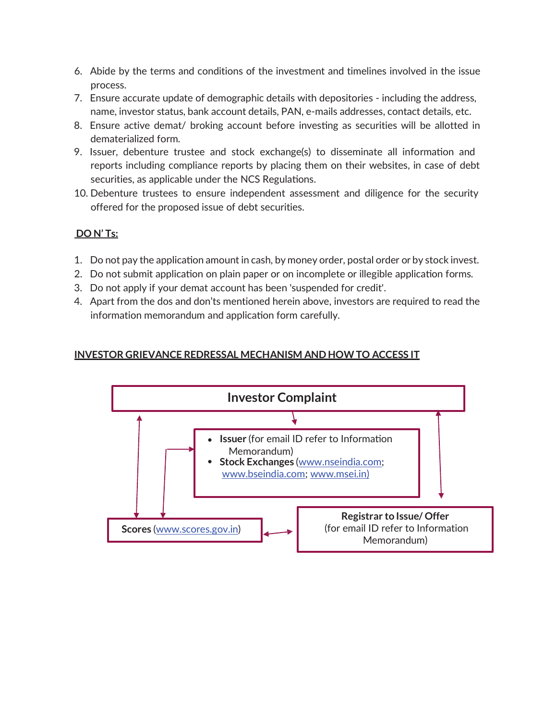- 6. Abide by the terms and conditions of the investment and timelines involved in the issue process.
- 7. Ensure accurate update of demographic details with depositories including the address, name, investor status, bank account details, PAN, e-mails addresses, contact details, etc.
- 8. Ensure active demat/ broking account before investing as securities will be allotted in dematerialized form.
- 9. Issuer, debenture trustee and stock exchange(s) to disseminate all information and reports including compliance reports by placing them on their websites, in case of debt securities, as applicable under the NCS Regulations.
- 10. Debenture trustees to ensure independent assessment and diligence for the security offered for the proposed issue of debt securities.

# **DO N' Ts:**

- 1. Do not pay the application amount in cash, by money order, postal order or by stock invest.
- 2. Do not submit application on plain paper or on incomplete or illegible application forms.
- 3. Do not apply if your demat account has been 'suspended for credit'.
- 4. Apart from the dos and don'ts mentioned herein above, investors are required to read the information memorandum and application form carefully.

# **INVESTOR GRIEVANCE REDRESSAL MECHANISM AND HOW TO ACCESS IT**

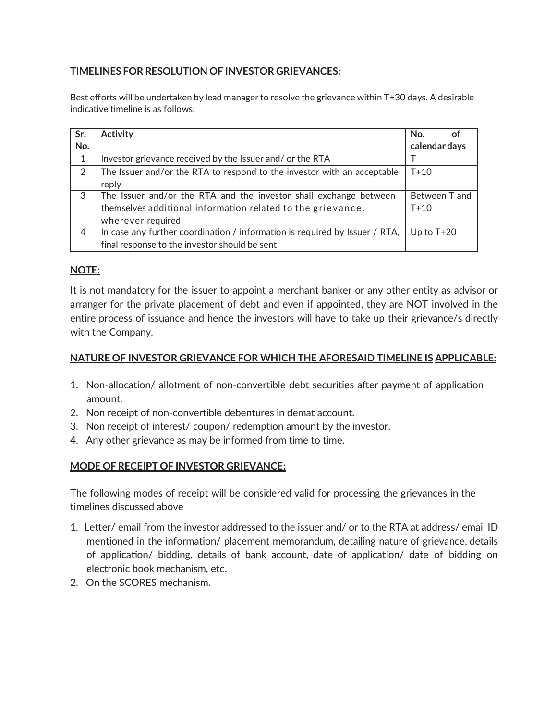## **TIMELINES FOR RESOLUTION OF INVESTOR GRIEVANCES:**

Best efforts will be undertaken by lead manager to resolve the grievance within T+30 days. A desirable indicative timeline is as follows:

| Sr. | <b>Activity</b>                                                             | No.<br>Οt     |
|-----|-----------------------------------------------------------------------------|---------------|
| No. |                                                                             | calendar days |
| 1   | Investor grievance received by the Issuer and/ or the RTA                   |               |
| 2   | The Issuer and/or the RTA to respond to the investor with an acceptable     | $T+10$        |
|     | reply                                                                       |               |
| 3   | The Issuer and/or the RTA and the investor shall exchange between           | Between T and |
|     | themselves additional information related to the grievance,                 | $T+10$        |
|     | wherever required                                                           |               |
| 4   | In case any further coordination / information is required by Issuer / RTA, | Up to $T+20$  |
|     | final response to the investor should be sent                               |               |

### **NOTE:**

It is not mandatory for the issuer to appoint a merchant banker or any other entity as advisor or arranger for the private placement of debt and even if appointed, they are NOT involved in the entire process of issuance and hence the investors will have to take up their grievance/s directly with the Company.

### **NATURE OF INVESTOR GRIEVANCE FOR WHICH THE AFORESAID TIMELINE IS APPLICABLE:**

- 1. Non-allocation/ allotment of non-convertible debt securities after payment of application amount.
- 2. Non receipt of non-convertible debentures in demat account.
- 3. Non receipt of interest/ coupon/ redemption amount by the investor.
- 4. Any other grievance as may be informed from time to time.

#### **MODE OF RECEIPT OF INVESTOR GRIEVANCE:**

The following modes of receipt will be considered valid for processing the grievances in the timelines discussed above

- 1. Letter/ email from the investor addressed to the issuer and/ or to the RTA at address/ email ID mentioned in the information/ placement memorandum, detailing nature of grievance, details of application/ bidding, details of bank account, date of application/ date of bidding on electronic book mechanism, etc.
- 2. On the SCORES mechanism.